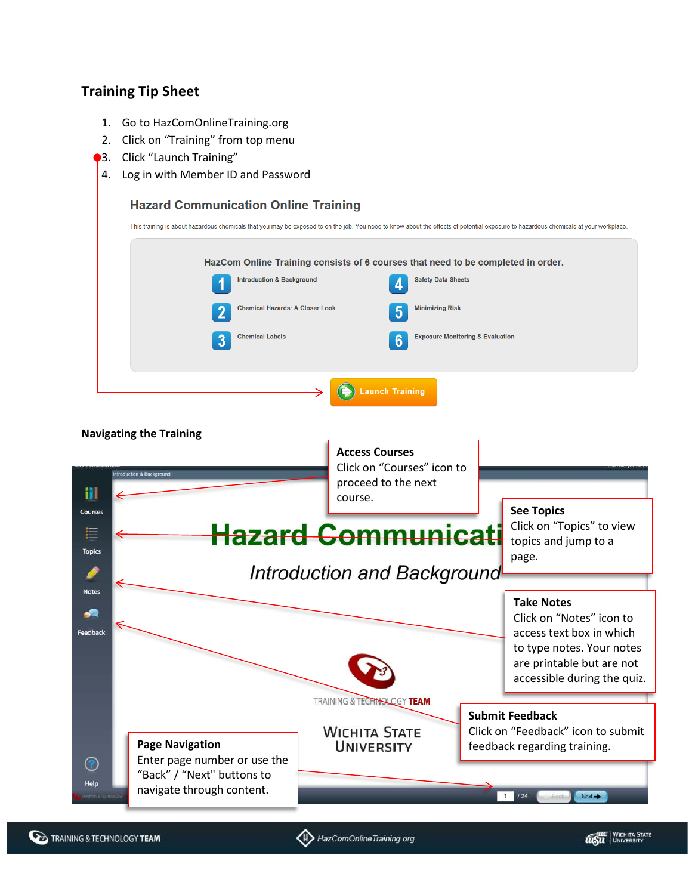## **Training Tip Sheet**

- 1. Go to HazComOnlineTraining.org
- 2. Click on "Training" from top menu
- 3. Click "Launch Training"
- 4. Log in with Member ID and Password

| This training is about hazardous chemicals that you may be exposed to on the job. You need to know about the effects of potential exposure to hazardous chemicals at your workplace. |                                          |                                             |
|--------------------------------------------------------------------------------------------------------------------------------------------------------------------------------------|------------------------------------------|---------------------------------------------|
| HazCom Online Training consists of 6 courses that need to be completed in order.                                                                                                     |                                          |                                             |
| <b>Introduction &amp; Background</b>                                                                                                                                                 | <b>Safety Data Sheets</b><br>л           |                                             |
| <b>Chemical Hazards: A Closer Look</b>                                                                                                                                               | <b>Minimizing Risk</b><br>$\overline{5}$ |                                             |
| <b>Chemical Labels</b><br>3                                                                                                                                                          | $6\phantom{1}6$                          | <b>Exposure Monitoring &amp; Evaluation</b> |
|                                                                                                                                                                                      |                                          |                                             |

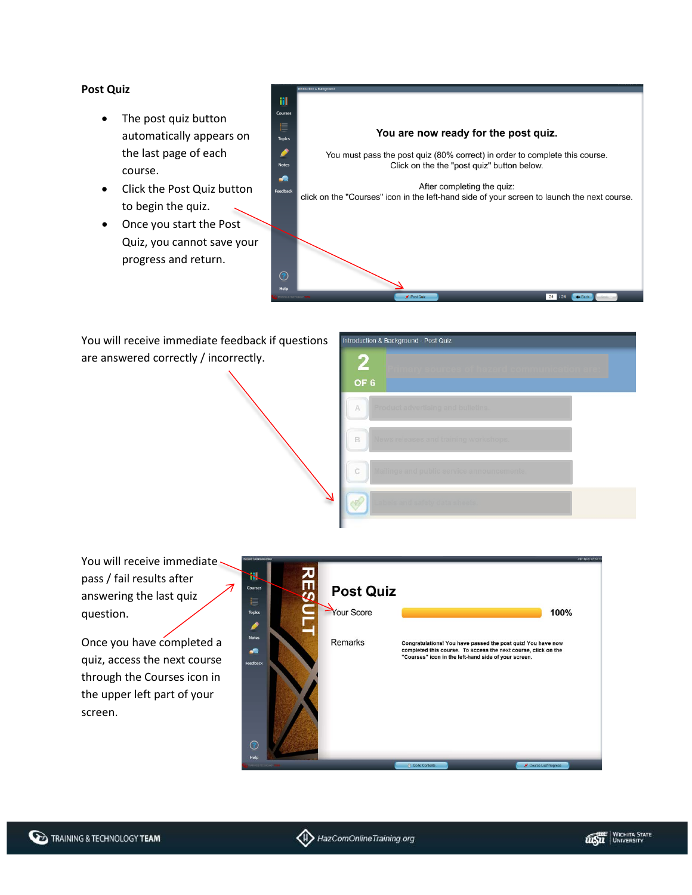## **Post Quiz**

- The post quiz button automatically appears on the last page of each course.
- Click the Post Quiz button to begin the quiz.
- Once you start the Post Quiz, you cannot save your progress and return.

H Course You are now ready for the post quiz. **Topics** ◢ You must pass the post quiz (80% correct) in order to complete this course. Note: Click on the the "post quiz" button below. ,a After completing the quiz: **Feedb** click on the "Courses" icon in the left-hand side of your screen to launch the next course.  $\odot$ Help  $24$  / 24  $\overline{\phantom{a}}$  Back

You will receive immediate feedback if questions are answered correctly / incorrectly.



You will receive immediate pass / fail results after answering the last quiz question.

Once you have completed a quiz, access the next course through the Courses icon in the upper left part of your screen.